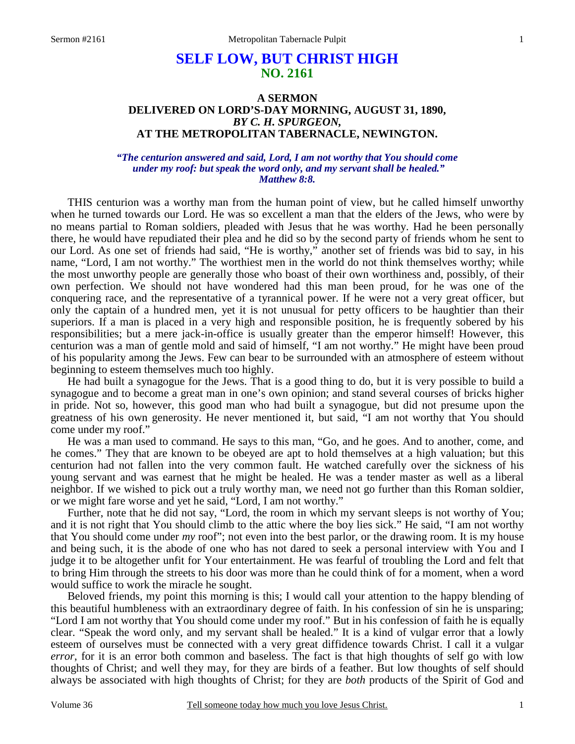# **SELF LOW, BUT CHRIST HIGH NO. 2161**

# **A SERMON DELIVERED ON LORD'S-DAY MORNING, AUGUST 31, 1890,**  *BY C. H. SPURGEON,*  **AT THE METROPOLITAN TABERNACLE, NEWINGTON.**

### *"The centurion answered and said, Lord, I am not worthy that You should come under my roof: but speak the word only, and my servant shall be healed." Matthew 8:8.*

THIS centurion was a worthy man from the human point of view, but he called himself unworthy when he turned towards our Lord. He was so excellent a man that the elders of the Jews, who were by no means partial to Roman soldiers, pleaded with Jesus that he was worthy. Had he been personally there, he would have repudiated their plea and he did so by the second party of friends whom he sent to our Lord. As one set of friends had said, "He is worthy," another set of friends was bid to say, in his name, "Lord, I am not worthy." The worthiest men in the world do not think themselves worthy; while the most unworthy people are generally those who boast of their own worthiness and, possibly, of their own perfection. We should not have wondered had this man been proud, for he was one of the conquering race, and the representative of a tyrannical power. If he were not a very great officer, but only the captain of a hundred men, yet it is not unusual for petty officers to be haughtier than their superiors. If a man is placed in a very high and responsible position, he is frequently sobered by his responsibilities; but a mere jack-in-office is usually greater than the emperor himself! However, this centurion was a man of gentle mold and said of himself, "I am not worthy." He might have been proud of his popularity among the Jews. Few can bear to be surrounded with an atmosphere of esteem without beginning to esteem themselves much too highly.

 He had built a synagogue for the Jews. That is a good thing to do, but it is very possible to build a synagogue and to become a great man in one's own opinion; and stand several courses of bricks higher in pride. Not so, however, this good man who had built a synagogue, but did not presume upon the greatness of his own generosity. He never mentioned it, but said, "I am not worthy that You should come under my roof."

 He was a man used to command. He says to this man, "Go, and he goes. And to another, come, and he comes." They that are known to be obeyed are apt to hold themselves at a high valuation; but this centurion had not fallen into the very common fault. He watched carefully over the sickness of his young servant and was earnest that he might be healed. He was a tender master as well as a liberal neighbor. If we wished to pick out a truly worthy man, we need not go further than this Roman soldier, or we might fare worse and yet he said, "Lord, I am not worthy."

 Further, note that he did not say, "Lord, the room in which my servant sleeps is not worthy of You; and it is not right that You should climb to the attic where the boy lies sick." He said, "I am not worthy that You should come under *my* roof"; not even into the best parlor, or the drawing room. It is my house and being such, it is the abode of one who has not dared to seek a personal interview with You and I judge it to be altogether unfit for Your entertainment. He was fearful of troubling the Lord and felt that to bring Him through the streets to his door was more than he could think of for a moment, when a word would suffice to work the miracle he sought.

 Beloved friends, my point this morning is this; I would call your attention to the happy blending of this beautiful humbleness with an extraordinary degree of faith. In his confession of sin he is unsparing; "Lord I am not worthy that You should come under my roof." But in his confession of faith he is equally clear. "Speak the word only, and my servant shall be healed." It is a kind of vulgar error that a lowly esteem of ourselves must be connected with a very great diffidence towards Christ. I call it a vulgar *error*, for it is an error both common and baseless. The fact is that high thoughts of self go with low thoughts of Christ; and well they may, for they are birds of a feather. But low thoughts of self should always be associated with high thoughts of Christ; for they are *both* products of the Spirit of God and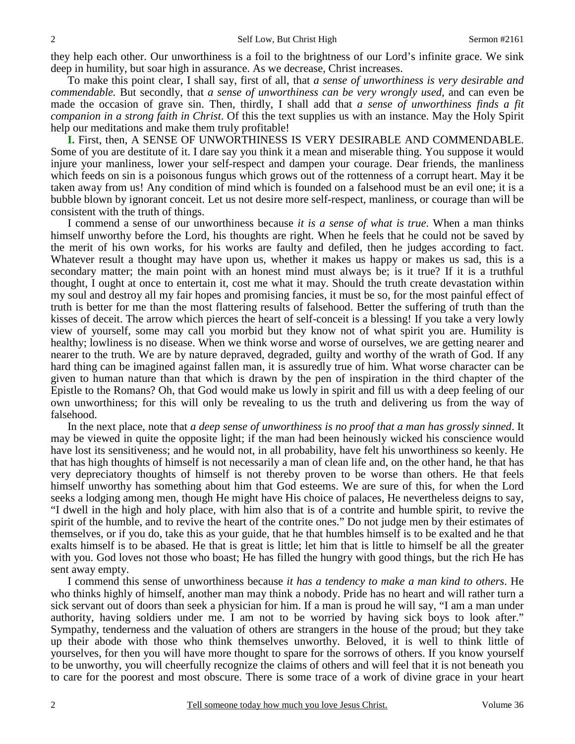they help each other. Our unworthiness is a foil to the brightness of our Lord's infinite grace. We sink deep in humility, but soar high in assurance. As we decrease, Christ increases.

 To make this point clear, I shall say, first of all, that *a sense of unworthiness is very desirable and commendable.* But secondly, that *a sense of unworthiness can be very wrongly used,* and can even be made the occasion of grave sin. Then, thirdly, I shall add that *a sense of unworthiness finds a fit companion in a strong faith in Christ*. Of this the text supplies us with an instance. May the Holy Spirit help our meditations and make them truly profitable!

**I.** First, then, A SENSE OF UNWORTHINESS IS VERY DESIRABLE AND COMMENDABLE. Some of you are destitute of it. I dare say you think it a mean and miserable thing. You suppose it would injure your manliness, lower your self-respect and dampen your courage. Dear friends, the manliness which feeds on sin is a poisonous fungus which grows out of the rottenness of a corrupt heart. May it be taken away from us! Any condition of mind which is founded on a falsehood must be an evil one; it is a bubble blown by ignorant conceit. Let us not desire more self-respect, manliness, or courage than will be consistent with the truth of things.

 I commend a sense of our unworthiness because *it is a sense of what is true*. When a man thinks himself unworthy before the Lord, his thoughts are right. When he feels that he could not be saved by the merit of his own works, for his works are faulty and defiled, then he judges according to fact. Whatever result a thought may have upon us, whether it makes us happy or makes us sad, this is a secondary matter; the main point with an honest mind must always be; is it true? If it is a truthful thought, I ought at once to entertain it, cost me what it may. Should the truth create devastation within my soul and destroy all my fair hopes and promising fancies, it must be so, for the most painful effect of truth is better for me than the most flattering results of falsehood. Better the suffering of truth than the kisses of deceit. The arrow which pierces the heart of self-conceit is a blessing! If you take a very lowly view of yourself, some may call you morbid but they know not of what spirit you are. Humility is healthy; lowliness is no disease. When we think worse and worse of ourselves, we are getting nearer and nearer to the truth. We are by nature depraved, degraded, guilty and worthy of the wrath of God. If any hard thing can be imagined against fallen man, it is assuredly true of him. What worse character can be given to human nature than that which is drawn by the pen of inspiration in the third chapter of the Epistle to the Romans? Oh, that God would make us lowly in spirit and fill us with a deep feeling of our own unworthiness; for this will only be revealing to us the truth and delivering us from the way of falsehood.

 In the next place, note that *a deep sense of unworthiness is no proof that a man has grossly sinned*. It may be viewed in quite the opposite light; if the man had been heinously wicked his conscience would have lost its sensitiveness; and he would not, in all probability, have felt his unworthiness so keenly. He that has high thoughts of himself is not necessarily a man of clean life and, on the other hand, he that has very depreciatory thoughts of himself is not thereby proven to be worse than others. He that feels himself unworthy has something about him that God esteems. We are sure of this, for when the Lord seeks a lodging among men, though He might have His choice of palaces, He nevertheless deigns to say, "I dwell in the high and holy place, with him also that is of a contrite and humble spirit, to revive the spirit of the humble, and to revive the heart of the contrite ones." Do not judge men by their estimates of themselves, or if you do, take this as your guide, that he that humbles himself is to be exalted and he that exalts himself is to be abased. He that is great is little; let him that is little to himself be all the greater with you. God loves not those who boast; He has filled the hungry with good things, but the rich He has sent away empty.

 I commend this sense of unworthiness because *it has a tendency to make a man kind to others*. He who thinks highly of himself, another man may think a nobody. Pride has no heart and will rather turn a sick servant out of doors than seek a physician for him. If a man is proud he will say, "I am a man under authority, having soldiers under me. I am not to be worried by having sick boys to look after." Sympathy, tenderness and the valuation of others are strangers in the house of the proud; but they take up their abode with those who think themselves unworthy. Beloved, it is well to think little of yourselves, for then you will have more thought to spare for the sorrows of others. If you know yourself to be unworthy, you will cheerfully recognize the claims of others and will feel that it is not beneath you to care for the poorest and most obscure. There is some trace of a work of divine grace in your heart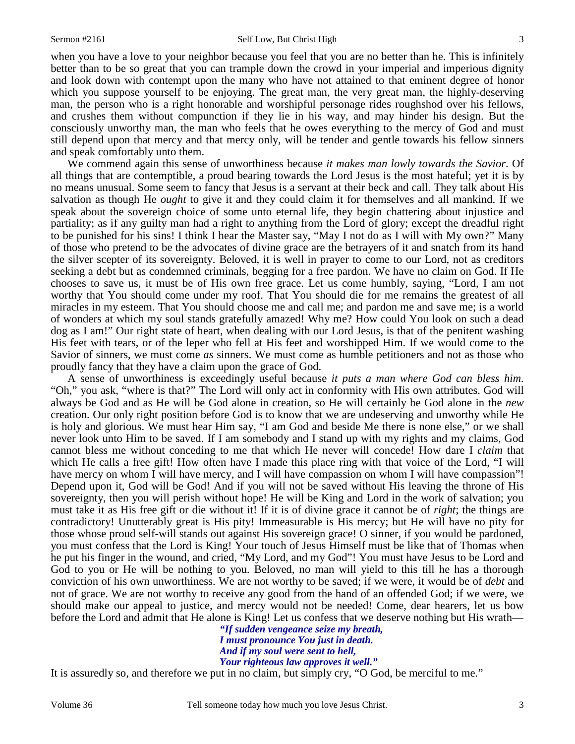3

when you have a love to your neighbor because you feel that you are no better than he. This is infinitely better than to be so great that you can trample down the crowd in your imperial and imperious dignity and look down with contempt upon the many who have not attained to that eminent degree of honor which you suppose yourself to be enjoying. The great man, the very great man, the highly-deserving man, the person who is a right honorable and worshipful personage rides roughshod over his fellows, and crushes them without compunction if they lie in his way, and may hinder his design. But the consciously unworthy man, the man who feels that he owes everything to the mercy of God and must still depend upon that mercy and that mercy only, will be tender and gentle towards his fellow sinners and speak comfortably unto them.

 We commend again this sense of unworthiness because *it makes man lowly towards the Savior*. Of all things that are contemptible, a proud bearing towards the Lord Jesus is the most hateful; yet it is by no means unusual. Some seem to fancy that Jesus is a servant at their beck and call. They talk about His salvation as though He *ought* to give it and they could claim it for themselves and all mankind. If we speak about the sovereign choice of some unto eternal life, they begin chattering about injustice and partiality; as if any guilty man had a right to anything from the Lord of glory; except the dreadful right to be punished for his sins! I think I hear the Master say, "May I not do as I will with My own?" Many of those who pretend to be the advocates of divine grace are the betrayers of it and snatch from its hand the silver scepter of its sovereignty. Beloved, it is well in prayer to come to our Lord, not as creditors seeking a debt but as condemned criminals, begging for a free pardon. We have no claim on God. If He chooses to save us, it must be of His own free grace. Let us come humbly, saying, "Lord, I am not worthy that You should come under my roof. That You should die for me remains the greatest of all miracles in my esteem. That You should choose me and call me; and pardon me and save me; is a world of wonders at which my soul stands gratefully amazed! Why me? How could You look on such a dead dog as I am!" Our right state of heart, when dealing with our Lord Jesus, is that of the penitent washing His feet with tears, or of the leper who fell at His feet and worshipped Him. If we would come to the Savior of sinners, we must come *as* sinners. We must come as humble petitioners and not as those who proudly fancy that they have a claim upon the grace of God.

 A sense of unworthiness is exceedingly useful because *it puts a man where God can bless him*. "Oh," you ask, "where is that?" The Lord will only act in conformity with His own attributes. God will always be God and as He will be God alone in creation, so He will certainly be God alone in the *new* creation. Our only right position before God is to know that we are undeserving and unworthy while He is holy and glorious. We must hear Him say, "I am God and beside Me there is none else," or we shall never look unto Him to be saved. If I am somebody and I stand up with my rights and my claims, God cannot bless me without conceding to me that which He never will concede! How dare I *claim* that which He calls a free gift! How often have I made this place ring with that voice of the Lord, "I will have mercy on whom I will have mercy, and I will have compassion on whom I will have compassion"! Depend upon it, God will be God! And if you will not be saved without His leaving the throne of His sovereignty, then you will perish without hope! He will be King and Lord in the work of salvation; you must take it as His free gift or die without it! If it is of divine grace it cannot be of *right*; the things are contradictory! Unutterably great is His pity! Immeasurable is His mercy; but He will have no pity for those whose proud self-will stands out against His sovereign grace! O sinner, if you would be pardoned, you must confess that the Lord is King! Your touch of Jesus Himself must be like that of Thomas when he put his finger in the wound, and cried, "My Lord, and my God"! You must have Jesus to be Lord and God to you or He will be nothing to you. Beloved, no man will yield to this till he has a thorough conviction of his own unworthiness. We are not worthy to be saved; if we were, it would be of *debt* and not of grace. We are not worthy to receive any good from the hand of an offended God; if we were, we should make our appeal to justice, and mercy would not be needed! Come, dear hearers, let us bow before the Lord and admit that He alone is King! Let us confess that we deserve nothing but His wrath—

*"If sudden vengeance seize my breath, I must pronounce You just in death. And if my soul were sent to hell, Your righteous law approves it well."* 

It is assuredly so, and therefore we put in no claim, but simply cry, "O God, be merciful to me."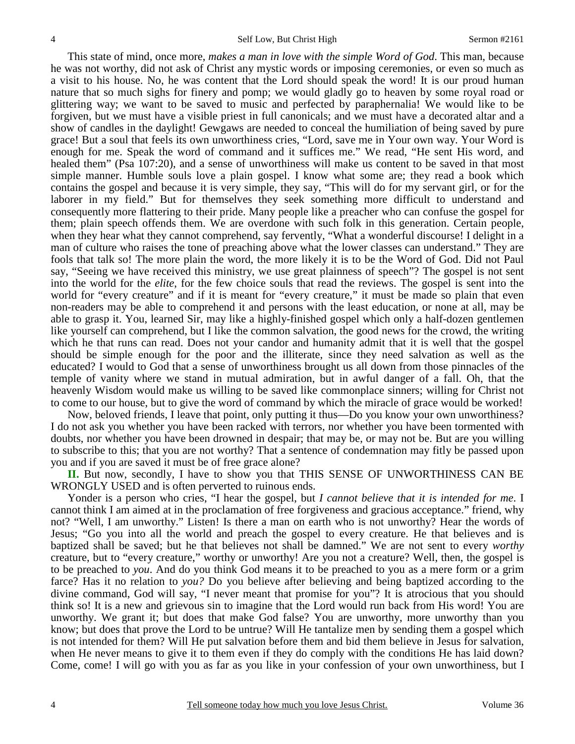This state of mind, once more, *makes a man in love with the simple Word of God*. This man, because he was not worthy, did not ask of Christ any mystic words or imposing ceremonies, or even so much as a visit to his house. No, he was content that the Lord should speak the word! It is our proud human nature that so much sighs for finery and pomp; we would gladly go to heaven by some royal road or glittering way; we want to be saved to music and perfected by paraphernalia! We would like to be forgiven, but we must have a visible priest in full canonicals; and we must have a decorated altar and a show of candles in the daylight! Gewgaws are needed to conceal the humiliation of being saved by pure grace! But a soul that feels its own unworthiness cries, "Lord, save me in Your own way. Your Word is enough for me. Speak the word of command and it suffices me." We read, "He sent His word, and healed them" (Psa 107:20), and a sense of unworthiness will make us content to be saved in that most simple manner. Humble souls love a plain gospel. I know what some are; they read a book which contains the gospel and because it is very simple, they say, "This will do for my servant girl, or for the laborer in my field." But for themselves they seek something more difficult to understand and consequently more flattering to their pride. Many people like a preacher who can confuse the gospel for them; plain speech offends them. We are overdone with such folk in this generation. Certain people, when they hear what they cannot comprehend, say fervently, "What a wonderful discourse! I delight in a man of culture who raises the tone of preaching above what the lower classes can understand." They are fools that talk so! The more plain the word, the more likely it is to be the Word of God. Did not Paul say, "Seeing we have received this ministry, we use great plainness of speech"? The gospel is not sent into the world for the *elite*, for the few choice souls that read the reviews. The gospel is sent into the world for "every creature" and if it is meant for "every creature," it must be made so plain that even non-readers may be able to comprehend it and persons with the least education, or none at all, may be able to grasp it. You, learned Sir, may like a highly-finished gospel which only a half-dozen gentlemen like yourself can comprehend, but I like the common salvation, the good news for the crowd, the writing which he that runs can read. Does not your candor and humanity admit that it is well that the gospel should be simple enough for the poor and the illiterate, since they need salvation as well as the educated? I would to God that a sense of unworthiness brought us all down from those pinnacles of the temple of vanity where we stand in mutual admiration, but in awful danger of a fall. Oh, that the heavenly Wisdom would make us willing to be saved like commonplace sinners; willing for Christ not to come to our house, but to give the word of command by which the miracle of grace would be worked!

 Now, beloved friends, I leave that point, only putting it thus—Do you know your own unworthiness? I do not ask you whether you have been racked with terrors, nor whether you have been tormented with doubts, nor whether you have been drowned in despair; that may be, or may not be. But are you willing to subscribe to this; that you are not worthy? That a sentence of condemnation may fitly be passed upon you and if you are saved it must be of free grace alone?

**II.** But now, secondly, I have to show you that THIS SENSE OF UNWORTHINESS CAN BE WRONGLY USED and is often perverted to ruinous ends.

 Yonder is a person who cries, "I hear the gospel, but *I cannot believe that it is intended for me*. I cannot think I am aimed at in the proclamation of free forgiveness and gracious acceptance." friend, why not? "Well, I am unworthy." Listen! Is there a man on earth who is not unworthy? Hear the words of Jesus; "Go you into all the world and preach the gospel to every creature. He that believes and is baptized shall be saved; but he that believes not shall be damned." We are not sent to every *worthy* creature, but to "every creature," worthy or unworthy! Are you not a creature? Well, then, the gospel is to be preached to *you*. And do you think God means it to be preached to you as a mere form or a grim farce? Has it no relation to *you?* Do you believe after believing and being baptized according to the divine command, God will say, "I never meant that promise for you"? It is atrocious that you should think so! It is a new and grievous sin to imagine that the Lord would run back from His word! You are unworthy. We grant it; but does that make God false? You are unworthy, more unworthy than you know; but does that prove the Lord to be untrue? Will He tantalize men by sending them a gospel which is not intended for them? Will He put salvation before them and bid them believe in Jesus for salvation, when He never means to give it to them even if they do comply with the conditions He has laid down? Come, come! I will go with you as far as you like in your confession of your own unworthiness, but I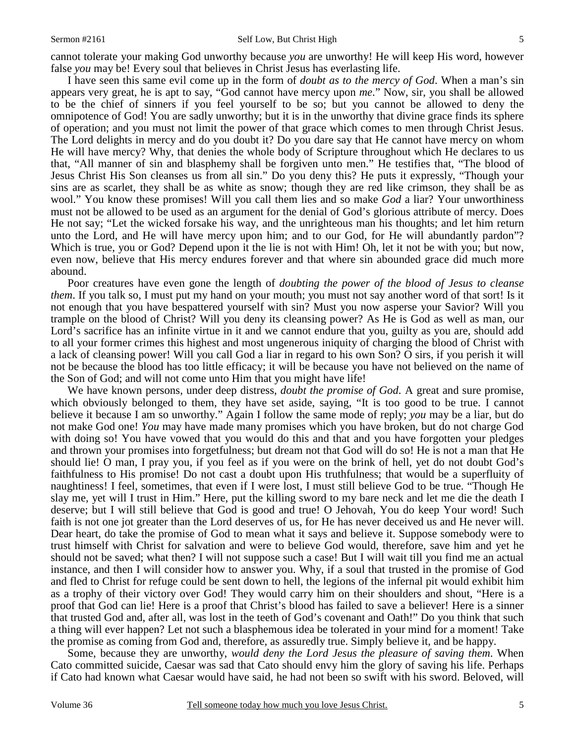#### Sermon #2161 Self Low, But Christ High

cannot tolerate your making God unworthy because *you* are unworthy! He will keep His word, however false *you* may be! Every soul that believes in Christ Jesus has everlasting life.

 I have seen this same evil come up in the form of *doubt as to the mercy of God*. When a man's sin appears very great, he is apt to say, "God cannot have mercy upon *me*." Now, sir, you shall be allowed to be the chief of sinners if you feel yourself to be so; but you cannot be allowed to deny the omnipotence of God! You are sadly unworthy; but it is in the unworthy that divine grace finds its sphere of operation; and you must not limit the power of that grace which comes to men through Christ Jesus. The Lord delights in mercy and do you doubt it? Do you dare say that He cannot have mercy on whom He will have mercy? Why, that denies the whole body of Scripture throughout which He declares to us that, "All manner of sin and blasphemy shall be forgiven unto men." He testifies that, "The blood of Jesus Christ His Son cleanses us from all sin." Do you deny this? He puts it expressly, "Though your sins are as scarlet, they shall be as white as snow; though they are red like crimson, they shall be as wool." You know these promises! Will you call them lies and so make *God* a liar? Your unworthiness must not be allowed to be used as an argument for the denial of God's glorious attribute of mercy. Does He not say; "Let the wicked forsake his way, and the unrighteous man his thoughts; and let him return unto the Lord, and He will have mercy upon him; and to our God, for He will abundantly pardon"? Which is true, you or God? Depend upon it the lie is not with Him! Oh, let it not be with you; but now, even now, believe that His mercy endures forever and that where sin abounded grace did much more abound.

 Poor creatures have even gone the length of *doubting the power of the blood of Jesus to cleanse them*. If you talk so, I must put my hand on your mouth; you must not say another word of that sort! Is it not enough that you have bespattered yourself with sin? Must you now asperse your Savior? Will you trample on the blood of Christ? Will you deny its cleansing power? As He is God as well as man, our Lord's sacrifice has an infinite virtue in it and we cannot endure that you, guilty as you are, should add to all your former crimes this highest and most ungenerous iniquity of charging the blood of Christ with a lack of cleansing power! Will you call God a liar in regard to his own Son? O sirs, if you perish it will not be because the blood has too little efficacy; it will be because you have not believed on the name of the Son of God; and will not come unto Him that you might have life!

 We have known persons, under deep distress, *doubt the promise of God*. A great and sure promise, which obviously belonged to them, they have set aside, saying, "It is too good to be true. I cannot believe it because I am so unworthy." Again I follow the same mode of reply; *you* may be a liar, but do not make God one! *You* may have made many promises which you have broken, but do not charge God with doing so! You have vowed that you would do this and that and you have forgotten your pledges and thrown your promises into forgetfulness; but dream not that God will do so! He is not a man that He should lie! O man, I pray you, if you feel as if you were on the brink of hell, yet do not doubt God's faithfulness to His promise! Do not cast a doubt upon His truthfulness; that would be a superfluity of naughtiness! I feel, sometimes, that even if I were lost, I must still believe God to be true. "Though He slay me, yet will I trust in Him." Here, put the killing sword to my bare neck and let me die the death I deserve; but I will still believe that God is good and true! O Jehovah, You do keep Your word! Such faith is not one jot greater than the Lord deserves of us, for He has never deceived us and He never will. Dear heart, do take the promise of God to mean what it says and believe it. Suppose somebody were to trust himself with Christ for salvation and were to believe God would, therefore, save him and yet he should not be saved; what then? I will not suppose such a case! But I will wait till you find me an actual instance, and then I will consider how to answer you. Why, if a soul that trusted in the promise of God and fled to Christ for refuge could be sent down to hell, the legions of the infernal pit would exhibit him as a trophy of their victory over God! They would carry him on their shoulders and shout, "Here is a proof that God can lie! Here is a proof that Christ's blood has failed to save a believer! Here is a sinner that trusted God and, after all, was lost in the teeth of God's covenant and Oath!" Do you think that such a thing will ever happen? Let not such a blasphemous idea be tolerated in your mind for a moment! Take the promise as coming from God and, therefore, as assuredly true. Simply believe it, and be happy.

 Some, because they are unworthy, *would deny the Lord Jesus the pleasure of saving them*. When Cato committed suicide, Caesar was sad that Cato should envy him the glory of saving his life. Perhaps if Cato had known what Caesar would have said, he had not been so swift with his sword. Beloved, will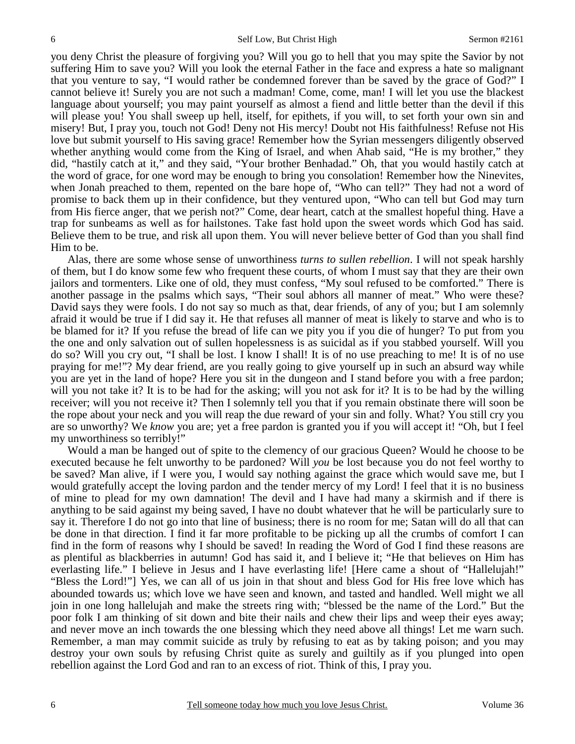you deny Christ the pleasure of forgiving you? Will you go to hell that you may spite the Savior by not suffering Him to save you? Will you look the eternal Father in the face and express a hate so malignant that you venture to say, "I would rather be condemned forever than be saved by the grace of God?" I cannot believe it! Surely you are not such a madman! Come, come, man! I will let you use the blackest language about yourself; you may paint yourself as almost a fiend and little better than the devil if this will please you! You shall sweep up hell, itself, for epithets, if you will, to set forth your own sin and misery! But, I pray you, touch not God! Deny not His mercy! Doubt not His faithfulness! Refuse not His love but submit yourself to His saving grace! Remember how the Syrian messengers diligently observed whether anything would come from the King of Israel, and when Ahab said, "He is my brother," they did, "hastily catch at it," and they said, "Your brother Benhadad." Oh, that you would hastily catch at the word of grace, for one word may be enough to bring you consolation! Remember how the Ninevites, when Jonah preached to them, repented on the bare hope of, "Who can tell?" They had not a word of promise to back them up in their confidence, but they ventured upon, "Who can tell but God may turn from His fierce anger, that we perish not?" Come, dear heart, catch at the smallest hopeful thing. Have a trap for sunbeams as well as for hailstones. Take fast hold upon the sweet words which God has said. Believe them to be true, and risk all upon them. You will never believe better of God than you shall find Him to be.

 Alas, there are some whose sense of unworthiness *turns to sullen rebellion*. I will not speak harshly of them, but I do know some few who frequent these courts, of whom I must say that they are their own jailors and tormenters. Like one of old, they must confess, "My soul refused to be comforted." There is another passage in the psalms which says, "Their soul abhors all manner of meat." Who were these? David says they were fools. I do not say so much as that, dear friends, of any of you; but I am solemnly afraid it would be true if I did say it. He that refuses all manner of meat is likely to starve and who is to be blamed for it? If you refuse the bread of life can we pity you if you die of hunger? To put from you the one and only salvation out of sullen hopelessness is as suicidal as if you stabbed yourself. Will you do so? Will you cry out, "I shall be lost. I know I shall! It is of no use preaching to me! It is of no use praying for me!"? My dear friend, are you really going to give yourself up in such an absurd way while you are yet in the land of hope? Here you sit in the dungeon and I stand before you with a free pardon; will you not take it? It is to be had for the asking; will you not ask for it? It is to be had by the willing receiver; will you not receive it? Then I solemnly tell you that if you remain obstinate there will soon be the rope about your neck and you will reap the due reward of your sin and folly. What? You still cry you are so unworthy? We *know* you are; yet a free pardon is granted you if you will accept it! "Oh, but I feel my unworthiness so terribly!"

 Would a man be hanged out of spite to the clemency of our gracious Queen? Would he choose to be executed because he felt unworthy to be pardoned? Will *you* be lost because you do not feel worthy to be saved? Man alive, if I were you, I would say nothing against the grace which would save me, but I would gratefully accept the loving pardon and the tender mercy of my Lord! I feel that it is no business of mine to plead for my own damnation! The devil and I have had many a skirmish and if there is anything to be said against my being saved, I have no doubt whatever that he will be particularly sure to say it. Therefore I do not go into that line of business; there is no room for me; Satan will do all that can be done in that direction. I find it far more profitable to be picking up all the crumbs of comfort I can find in the form of reasons why I should be saved! In reading the Word of God I find these reasons are as plentiful as blackberries in autumn! God has said it, and I believe it; "He that believes on Him has everlasting life." I believe in Jesus and I have everlasting life! [Here came a shout of "Hallelujah!" "Bless the Lord!"] Yes, we can all of us join in that shout and bless God for His free love which has abounded towards us; which love we have seen and known, and tasted and handled. Well might we all join in one long hallelujah and make the streets ring with; "blessed be the name of the Lord." But the poor folk I am thinking of sit down and bite their nails and chew their lips and weep their eyes away; and never move an inch towards the one blessing which they need above all things! Let me warn such. Remember, a man may commit suicide as truly by refusing to eat as by taking poison; and you may destroy your own souls by refusing Christ quite as surely and guiltily as if you plunged into open rebellion against the Lord God and ran to an excess of riot. Think of this, I pray you.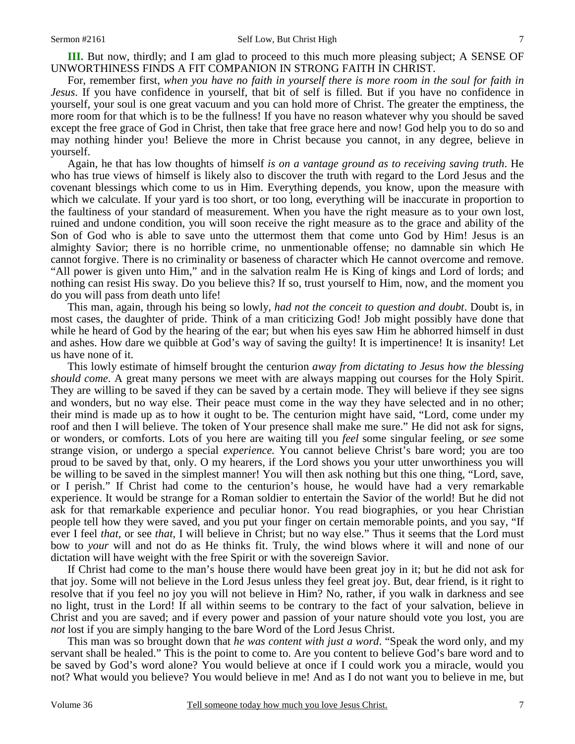For, remember first, *when you have no faith in yourself there is more room in the soul for faith in Jesus*. If you have confidence in yourself, that bit of self is filled. But if you have no confidence in yourself, your soul is one great vacuum and you can hold more of Christ. The greater the emptiness, the more room for that which is to be the fullness! If you have no reason whatever why you should be saved except the free grace of God in Christ, then take that free grace here and now! God help you to do so and may nothing hinder you! Believe the more in Christ because you cannot, in any degree, believe in yourself.

 Again, he that has low thoughts of himself *is on a vantage ground as to receiving saving truth*. He who has true views of himself is likely also to discover the truth with regard to the Lord Jesus and the covenant blessings which come to us in Him. Everything depends, you know, upon the measure with which we calculate. If your yard is too short, or too long, everything will be inaccurate in proportion to the faultiness of your standard of measurement. When you have the right measure as to your own lost, ruined and undone condition, you will soon receive the right measure as to the grace and ability of the Son of God who is able to save unto the uttermost them that come unto God by Him! Jesus is an almighty Savior; there is no horrible crime, no unmentionable offense; no damnable sin which He cannot forgive. There is no criminality or baseness of character which He cannot overcome and remove. "All power is given unto Him," and in the salvation realm He is King of kings and Lord of lords; and nothing can resist His sway. Do you believe this? If so, trust yourself to Him, now, and the moment you do you will pass from death unto life!

 This man, again, through his being so lowly, *had not the conceit to question and doubt*. Doubt is, in most cases, the daughter of pride. Think of a man criticizing God! Job might possibly have done that while he heard of God by the hearing of the ear; but when his eyes saw Him he abhorred himself in dust and ashes. How dare we quibble at God's way of saving the guilty! It is impertinence! It is insanity! Let us have none of it.

 This lowly estimate of himself brought the centurion *away from dictating to Jesus how the blessing should come*. A great many persons we meet with are always mapping out courses for the Holy Spirit. They are willing to be saved if they can be saved by a certain mode. They will believe if they see signs and wonders, but no way else. Their peace must come in the way they have selected and in no other; their mind is made up as to how it ought to be. The centurion might have said, "Lord, come under my roof and then I will believe. The token of Your presence shall make me sure." He did not ask for signs, or wonders, or comforts. Lots of you here are waiting till you *feel* some singular feeling, or *see* some strange vision, or undergo a special *experience.* You cannot believe Christ's bare word; you are too proud to be saved by that, only. O my hearers, if the Lord shows you your utter unworthiness you will be willing to be saved in the simplest manner! You will then ask nothing but this one thing, "Lord, save, or I perish." If Christ had come to the centurion's house, he would have had a very remarkable experience. It would be strange for a Roman soldier to entertain the Savior of the world! But he did not ask for that remarkable experience and peculiar honor. You read biographies, or you hear Christian people tell how they were saved, and you put your finger on certain memorable points, and you say, "If ever I feel *that,* or see *that,* I will believe in Christ; but no way else." Thus it seems that the Lord must bow to *your* will and not do as He thinks fit. Truly, the wind blows where it will and none of our dictation will have weight with the free Spirit or with the sovereign Savior.

 If Christ had come to the man's house there would have been great joy in it; but he did not ask for that joy. Some will not believe in the Lord Jesus unless they feel great joy. But, dear friend, is it right to resolve that if you feel no joy you will not believe in Him? No, rather, if you walk in darkness and see no light, trust in the Lord! If all within seems to be contrary to the fact of your salvation, believe in Christ and you are saved; and if every power and passion of your nature should vote you lost, you are *not* lost if you are simply hanging to the bare Word of the Lord Jesus Christ.

 This man was so brought down that *he was content with just a word*. "Speak the word only, and my servant shall be healed." This is the point to come to. Are you content to believe God's bare word and to be saved by God's word alone? You would believe at once if I could work you a miracle, would you not? What would you believe? You would believe in me! And as I do not want you to believe in me, but